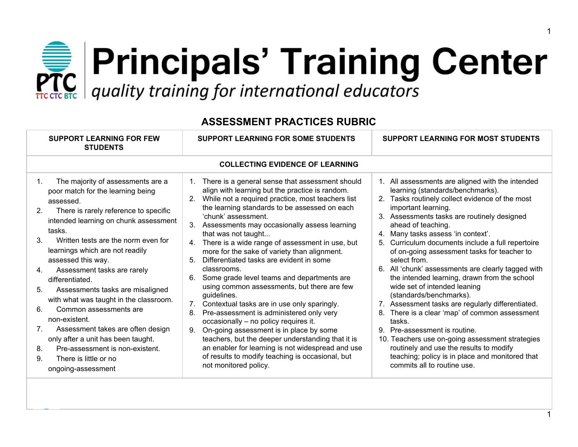## **Principals' Training Center**<br>**PRC** quality training for international educators

| <b>SUPPORT LEARNING FOR FEW</b><br><b>STUDENTS</b>                                                                                                                                                                                                                                                                                                                                                                                                                                                                                                                                                                                                                                          | <b>SUPPORT LEARNING FOR SOME STUDENTS</b>                                                                                                                                                                                                                                                                                                                                                                                                                                                                                                                                                                                                                                                                                                                                                                                                                                                                                                                                                                          | <b>SUPPORT LEARNING FOR MOST STUDENTS</b>                                                                                                                                                                                                                                                                                                                                                                                                                                                                                                                                                                                                                                                                                                                                                                                                                                                                 |  |  |  |
|---------------------------------------------------------------------------------------------------------------------------------------------------------------------------------------------------------------------------------------------------------------------------------------------------------------------------------------------------------------------------------------------------------------------------------------------------------------------------------------------------------------------------------------------------------------------------------------------------------------------------------------------------------------------------------------------|--------------------------------------------------------------------------------------------------------------------------------------------------------------------------------------------------------------------------------------------------------------------------------------------------------------------------------------------------------------------------------------------------------------------------------------------------------------------------------------------------------------------------------------------------------------------------------------------------------------------------------------------------------------------------------------------------------------------------------------------------------------------------------------------------------------------------------------------------------------------------------------------------------------------------------------------------------------------------------------------------------------------|-----------------------------------------------------------------------------------------------------------------------------------------------------------------------------------------------------------------------------------------------------------------------------------------------------------------------------------------------------------------------------------------------------------------------------------------------------------------------------------------------------------------------------------------------------------------------------------------------------------------------------------------------------------------------------------------------------------------------------------------------------------------------------------------------------------------------------------------------------------------------------------------------------------|--|--|--|
| <b>COLLECTING EVIDENCE OF LEARNING</b>                                                                                                                                                                                                                                                                                                                                                                                                                                                                                                                                                                                                                                                      |                                                                                                                                                                                                                                                                                                                                                                                                                                                                                                                                                                                                                                                                                                                                                                                                                                                                                                                                                                                                                    |                                                                                                                                                                                                                                                                                                                                                                                                                                                                                                                                                                                                                                                                                                                                                                                                                                                                                                           |  |  |  |
| The majority of assessments are a<br>$1_{\cdot}$<br>poor match for the learning being<br>assessed.<br>There is rarely reference to specific<br>2.<br>intended learning on chunk assessment<br>tasks.<br>$3_{-}$<br>Written tests are the norm even for<br>learnings which are not readily<br>assessed this way.<br>Assessment tasks are rarely<br>4.<br>differentiated.<br>Assessments tasks are misaligned<br>5.<br>with what was taught in the classroom.<br>6.<br>Common assessments are<br>non-existent.<br>Assessment takes are often design<br>7.<br>only after a unit has been taught.<br>Pre-assessment is non-existent.<br>8.<br>9.<br>There is little or no<br>ongoing-assessment | There is a general sense that assessment should<br>1.<br>align with learning but the practice is random.<br>While not a required practice, most teachers list<br>the learning standards to be assessed on each<br>'chunk' assessment.<br>Assessments may occasionally assess learning<br>3.<br>that was not taught<br>There is a wide range of assessment in use, but<br>4.<br>more for the sake of variety than alignment.<br>Differentiated tasks are evident in some<br>5.<br>classrooms.<br>Some grade level teams and departments are<br>6.<br>using common assessments, but there are few<br>guidelines.<br>Contextual tasks are in use only sparingly.<br>7 <sub>1</sub><br>Pre-assessment is administered only very<br>8.<br>occasionally - no policy requires it.<br>On-going assessment is in place by some<br>9.<br>teachers, but the deeper understanding that it is<br>an enabler for learning is not widespread and use<br>of results to modify teaching is occasional, but<br>not monitored policy. | 1. All assessments are aligned with the intended<br>learning (standards/benchmarks).<br>2. Tasks routinely collect evidence of the most<br>important learning.<br>3. Assessments tasks are routinely designed<br>ahead of teaching.<br>Many tasks assess 'in context'.<br>4.<br>Curriculum documents include a full repertoire<br>5.<br>of on-going assessment tasks for teacher to<br>select from.<br>6. All 'chunk' assessments are clearly tagged with<br>the intended learning, drawn from the school<br>wide set of intended leaning<br>(standards/benchmarks).<br>7. Assessment tasks are regularly differentiated.<br>There is a clear 'map' of common assessment<br>8.<br>tasks.<br>9. Pre-assessment is routine.<br>10. Teachers use on-going assessment strategies<br>routinely and use the results to modify<br>teaching; policy is in place and monitored that<br>commits all to routine use. |  |  |  |

## **ASSESSMENT PRACTICES RUBRIC**

1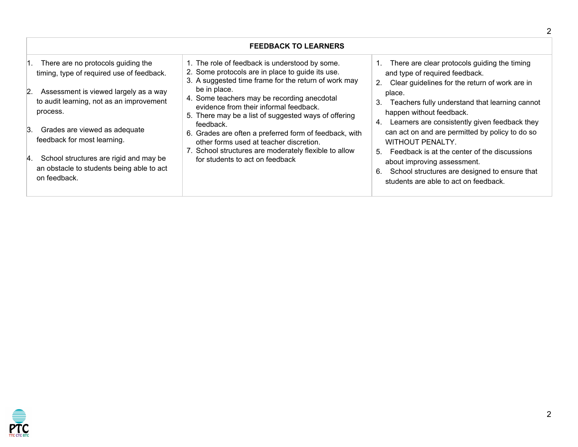| <b>FEEDBACK TO LEARNERS</b>                                                                                                                                                                                                                                                                                                                                                       |                                                                                                                                                                                                                                                                                                                                                                                                                                                                                                                                           |                                                                                                                                                                                                                                                                                                                                                                                                                                                                                                                                                                            |  |  |
|-----------------------------------------------------------------------------------------------------------------------------------------------------------------------------------------------------------------------------------------------------------------------------------------------------------------------------------------------------------------------------------|-------------------------------------------------------------------------------------------------------------------------------------------------------------------------------------------------------------------------------------------------------------------------------------------------------------------------------------------------------------------------------------------------------------------------------------------------------------------------------------------------------------------------------------------|----------------------------------------------------------------------------------------------------------------------------------------------------------------------------------------------------------------------------------------------------------------------------------------------------------------------------------------------------------------------------------------------------------------------------------------------------------------------------------------------------------------------------------------------------------------------------|--|--|
| There are no protocols guiding the<br>timing, type of required use of feedback.<br>2. Assessment is viewed largely as a way<br>to audit learning, not as an improvement<br>process.<br>Grades are viewed as adequate<br>3.<br>feedback for most learning.<br>School structures are rigid and may be<br><sup>4.</sup><br>an obstacle to students being able to act<br>on feedback. | 1. The role of feedback is understood by some.<br>2. Some protocols are in place to guide its use.<br>3. A suggested time frame for the return of work may<br>be in place.<br>4. Some teachers may be recording anecdotal<br>evidence from their informal feedback.<br>5. There may be a list of suggested ways of offering<br>feedback.<br>6. Grades are often a preferred form of feedback, with<br>other forms used at teacher discretion.<br>7. School structures are moderately flexible to allow<br>for students to act on feedback | 1. There are clear protocols guiding the timing<br>and type of required feedback.<br>Clear guidelines for the return of work are in<br>2.<br>place.<br>Teachers fully understand that learning cannot<br>З.<br>happen without feedback.<br>Learners are consistently given feedback they<br>4.<br>can act on and are permitted by policy to do so<br><b>WITHOUT PENALTY.</b><br>Feedback is at the center of the discussions<br>$5^{\circ}$<br>about improving assessment.<br>School structures are designed to ensure that<br>6.<br>students are able to act on feedback. |  |  |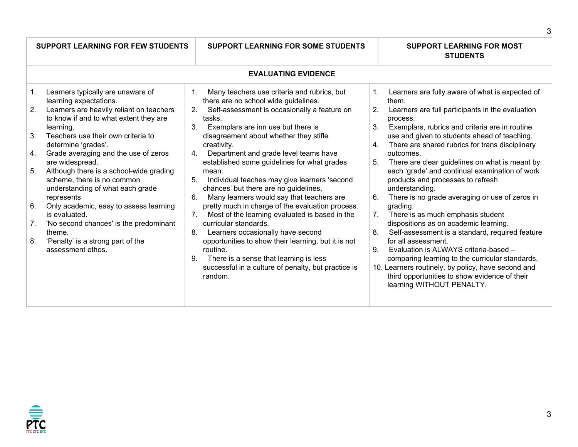|                                              | <b>SUPPORT LEARNING FOR FEW STUDENTS</b>                                                                                                                                                                                                                                                                                                                                                                                                                                                                                                                                                   | <b>SUPPORT LEARNING FOR SOME STUDENTS</b>                                                                                                                                                                                                                                                                                                                                                                                                                                                                                                                                                                                                                                                                                                                                                                                                                                                                            | <b>SUPPORT LEARNING FOR MOST</b><br><b>STUDENTS</b>                                                                                                                                                                                                                                                                                                                                                                                                                                                                                                                                                                                                                                                                                                                                                                                                                                                                                                                                                   |  |  |
|----------------------------------------------|--------------------------------------------------------------------------------------------------------------------------------------------------------------------------------------------------------------------------------------------------------------------------------------------------------------------------------------------------------------------------------------------------------------------------------------------------------------------------------------------------------------------------------------------------------------------------------------------|----------------------------------------------------------------------------------------------------------------------------------------------------------------------------------------------------------------------------------------------------------------------------------------------------------------------------------------------------------------------------------------------------------------------------------------------------------------------------------------------------------------------------------------------------------------------------------------------------------------------------------------------------------------------------------------------------------------------------------------------------------------------------------------------------------------------------------------------------------------------------------------------------------------------|-------------------------------------------------------------------------------------------------------------------------------------------------------------------------------------------------------------------------------------------------------------------------------------------------------------------------------------------------------------------------------------------------------------------------------------------------------------------------------------------------------------------------------------------------------------------------------------------------------------------------------------------------------------------------------------------------------------------------------------------------------------------------------------------------------------------------------------------------------------------------------------------------------------------------------------------------------------------------------------------------------|--|--|
| <b>EVALUATING EVIDENCE</b>                   |                                                                                                                                                                                                                                                                                                                                                                                                                                                                                                                                                                                            |                                                                                                                                                                                                                                                                                                                                                                                                                                                                                                                                                                                                                                                                                                                                                                                                                                                                                                                      |                                                                                                                                                                                                                                                                                                                                                                                                                                                                                                                                                                                                                                                                                                                                                                                                                                                                                                                                                                                                       |  |  |
| 1.<br>2.<br>3.<br>4.<br>5.<br>6.<br>7.<br>8. | Learners typically are unaware of<br>learning expectations.<br>Learners are heavily reliant on teachers<br>to know if and to what extent they are<br>learning.<br>Teachers use their own criteria to<br>determine 'grades'.<br>Grade averaging and the use of zeros<br>are widespread.<br>Although there is a school-wide grading<br>scheme, there is no common<br>understanding of what each grade<br>represents<br>Only academic, easy to assess learning<br>is evaluated.<br>'No second chances' is the predominant<br>theme.<br>'Penalty' is a strong part of the<br>assessment ethos. | Many teachers use criteria and rubrics, but<br>1.<br>there are no school wide guidelines.<br>Self-assessment is occasionally a feature on<br>2 <sub>1</sub><br>tasks.<br>Exemplars are inn use but there is<br>3.<br>disagreement about whether they stifle<br>creativity.<br>Department and grade level teams have<br>4.<br>established some guidelines for what grades<br>mean.<br>Individual teaches may give learners 'second<br>5.<br>chances' but there are no guidelines,<br>Many learners would say that teachers are<br>6.<br>pretty much in charge of the evaluation process.<br>Most of the learning evaluated is based in the<br>7 <sub>1</sub><br>curricular standards.<br>8.<br>Learners occasionally have second<br>opportunities to show their learning, but it is not<br>routine.<br>There is a sense that learning is less<br>9.<br>successful in a culture of penalty, but practice is<br>random. | Learners are fully aware of what is expected of<br>1.<br>them.<br>2.<br>Learners are full participants in the evaluation<br>process.<br>Exemplars, rubrics and criteria are in routine<br>3 <sub>1</sub><br>use and given to students ahead of teaching.<br>There are shared rubrics for trans disciplinary<br>4.<br>outcomes.<br>5 <sub>1</sub><br>There are clear guidelines on what is meant by<br>each 'grade' and continual examination of work<br>products and processes to refresh<br>understanding.<br>6.<br>There is no grade averaging or use of zeros in<br>grading.<br>There is as much emphasis student<br>7 <sub>1</sub><br>dispositions as on academic learning.<br>8.<br>Self-assessment is a standard, required feature<br>for all assessment.<br>Evaluation is ALWAYS criteria-based -<br>9.<br>comparing learning to the curricular standards.<br>10. Learners routinely, by policy, have second and<br>third opportunities to show evidence of their<br>learning WITHOUT PENALTY. |  |  |



3